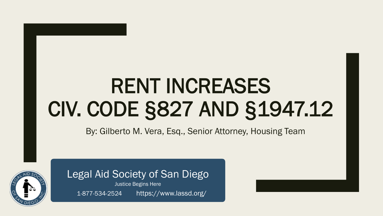# RENT INCREASES CIV. CODE §827 AND §1947.12

By: Gilberto M. Vera, Esq., Senior Attorney, Housing Team



Legal Aid Society of San Diego Justice Begins Here

1-877-534-2524 https://www.lassd.org/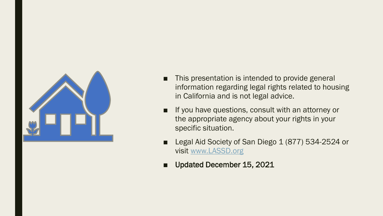

- This presentation is intended to provide general information regarding legal rights related to housing in California and is not legal advice.
- If you have questions, consult with an attorney or the appropriate agency about your rights in your specific situation.
- Legal Aid Society of San Diego 1 (877) 534-2524 or visit [www.LASSD.org](http://www.lassd.org/)
- Updated December 15, 2021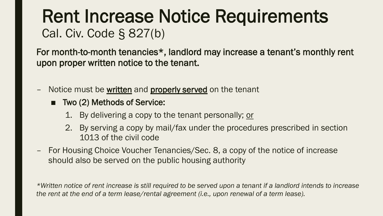# Rent Increase Notice Requirements Cal. Civ. Code § 827(b)

For month-to-month tenancies\*, landlord may increase a tenant's monthly rent upon proper written notice to the tenant.

- Notice must be written and properly served on the tenant
	- Two (2) Methods of Service:
		- 1. By delivering a copy to the tenant personally; or
		- 2. By serving a copy by mail/fax under the procedures prescribed in section 1013 of the civil code
- For Housing Choice Voucher Tenancies/Sec. 8, a copy of the notice of increase should also be served on the public housing authority

*\*Written notice of rent increase is still required to be served upon a tenant if a landlord intends to increase the rent at the end of a term lease/rental agreement (i.e., upon renewal of a term lease).*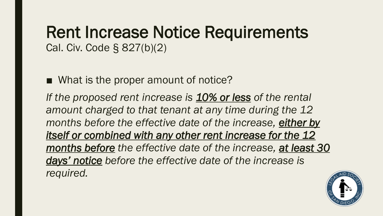## Rent Increase Notice Requirements Cal. Civ. Code § 827(b)(2)

■ What is the proper amount of notice?

*If the proposed rent increase is 10% or less of the rental amount charged to that tenant at any time during the 12 months before the effective date of the increase, either by itself or combined with any other rent increase for the 12 months before the effective date of the increase, at least 30 days' notice before the effective date of the increase is required.*

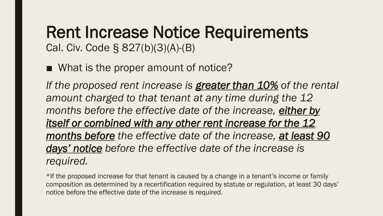## Rent Increase Notice Requirements Cal. Civ. Code § 827(b)(3)(A)-(B)

■ What is the proper amount of notice?

*If the proposed rent increase is greater than 10% of the rental amount charged to that tenant at any time during the 12 months before the effective date of the increase, either by itself or combined with any other rent increase for the 12 months before the effective date of the increase, at least 90 days' notice before the effective date of the increase is required.*

\*If the proposed increase for that tenant is caused by a change in a tenant's income or family composition as determined by a recertification required by statute or regulation, at least 30 days' notice before the effective date of the increase is required.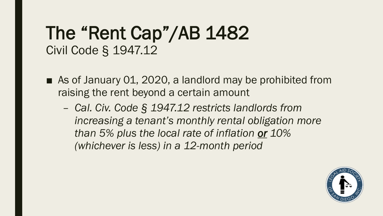- As of January 01, 2020, a landlord may be prohibited from raising the rent beyond a certain amount
	- *Cal. Civ. Code § 1947.12 restricts landlords from increasing a tenant's monthly rental obligation more than 5% plus the local rate of inflation or 10% (whichever is less) in a 12-month period*

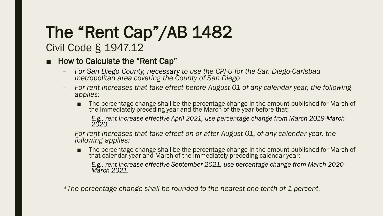# The "Rent Cap"/AB 1482

## Civil Code § 1947.12

#### ■ How to Calculate the "Rent Cap"

- *For San Diego County, necessary to use the CPI-U for the San Diego-Carlsbad metropolitan area covering the County of San Diego*
- *For rent increases that take effect before August 01 of any calendar year, the following applies:*
	- The percentage change shall be the percentage change in the amount published for March of the immediately preceding year and the March of the year before that;

*E.g., rent increase effective April 2021, use percentage change from March 2019-March 2020.*

- *For rent increases that take effect on or after August 01, of any calendar year, the following applies:*
	- The percentage change shall be the percentage change in the amount published for March of that calendar year and March of the immediately preceding calendar year;

*E.g., rent increase effective September 2021, use percentage change from March 2020- March 2021.*

*\*The percentage change shall be rounded to the nearest one-tenth of 1 percent.*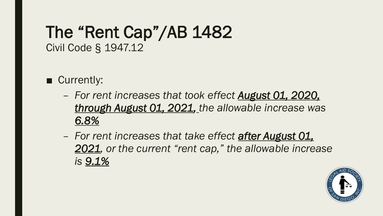- Currently:
	- *For rent increases that took effect August 01, 2020, through August 01, 2021, the allowable increase was 6.8%*
	- *For rent increases that take effect after August 01, 2021, or the current "rent cap," the allowable increase is 9.1%*

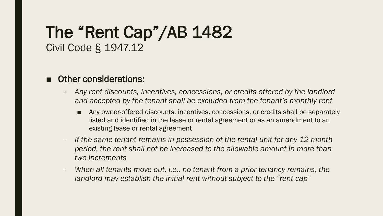#### ■ Other considerations:

- *Any rent discounts, incentives, concessions, or credits offered by the landlord and accepted by the tenant shall be excluded from the tenant's monthly rent*
	- Any owner-offered discounts, incentives, concessions, or credits shall be separately listed and identified in the lease or rental agreement or as an amendment to an existing lease or rental agreement
- *If the same tenant remains in possession of the rental unit for any 12-month period, the rent shall not be increased to the allowable amount in more than two increments*
- *When all tenants move out, i.e., no tenant from a prior tenancy remains, the landlord may establish the initial rent without subject to the "rent cap"*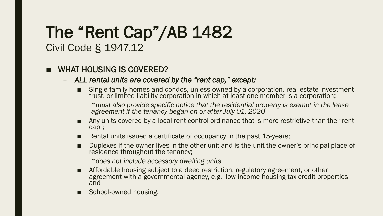#### WHAT HOUSING IS COVERED?

- *ALL rental units are covered by the "rent cap," except:*
	- Single-family homes and condos, unless owned by a corporation, real estate investment trust, or limited liability corporation in which at least one member is a corporation;

*\*must also provide specific notice that the residential property is exempt in the lease agreement if the tenancy began on or after July 01, 2020*

- Any units covered by a local rent control ordinance that is more restrictive than the "rent cap";
- Rental units issued a certificate of occupancy in the past 15-years;
- Duplexes if the owner lives in the other unit and is the unit the owner's principal place of residence throughout the tenancy;

*\*does not include accessory dwelling units*

- Affordable housing subject to a deed restriction, regulatory agreement, or other agreement with a governmental agency, e.g., low-income housing tax credit properties; and
- School-owned housing.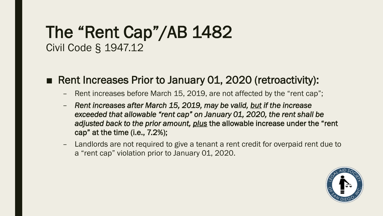#### ■ Rent Increases Prior to January 01, 2020 (retroactivity):

- Rent increases before March 15, 2019, are not affected by the "rent cap";
- *Rent increases after March 15, 2019, may be valid, but if the increase exceeded that allowable "rent cap" on January 01, 2020, the rent shall be adjusted back to the prior amount, plus* the allowable increase under the "rent cap" at the time (i.e., 7.2%);
- Landlords are not required to give a tenant a rent credit for overpaid rent due to a "rent cap" violation prior to January 01, 2020.